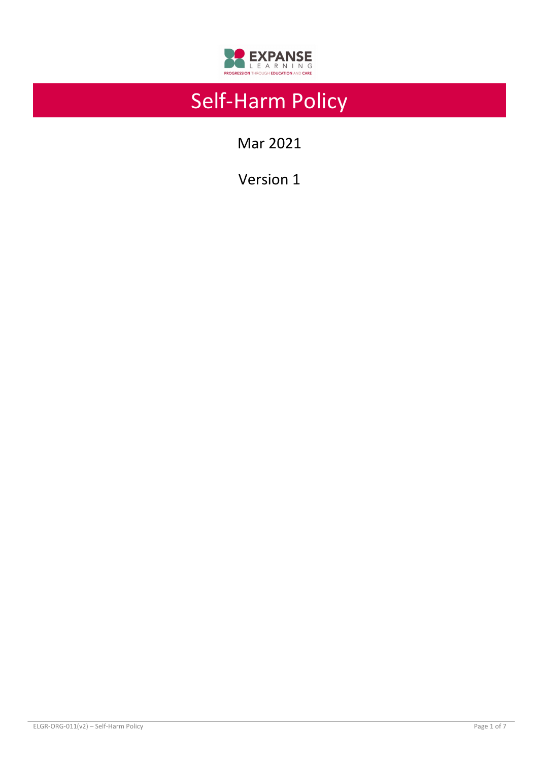

# Self-Harm Policy

Mar 2021

Version 1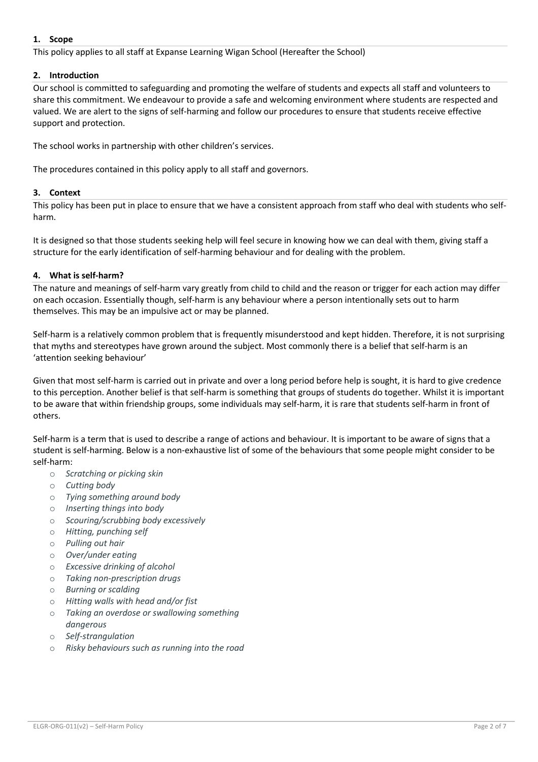## **1. Scope**

This policy applies to all staff at Expanse Learning Wigan School (Hereafter the School)

# **2. Introduction**

Our school is committed to safeguarding and promoting the welfare of students and expects all staff and volunteers to share this commitment. We endeavour to provide a safe and welcoming environment where students are respected and valued. We are alert to the signs of self-harming and follow our procedures to ensure that students receive effective support and protection.

The school works in partnership with other children's services.

The procedures contained in this policy apply to all staff and governors.

# **3. Context**

This policy has been put in place to ensure that we have a consistent approach from staff who deal with students who selfharm.

It is designed so that those students seeking help will feel secure in knowing how we can deal with them, giving staff a structure for the early identification of self-harming behaviour and for dealing with the problem.

# **4. What is self-harm?**

The nature and meanings of self-harm vary greatly from child to child and the reason or trigger for each action may differ on each occasion. Essentially though, self-harm is any behaviour where a person intentionally sets out to harm themselves. This may be an impulsive act or may be planned.

Self-harm is a relatively common problem that is frequently misunderstood and kept hidden. Therefore, it is not surprising that myths and stereotypes have grown around the subject. Most commonly there is a belief that self-harm is an 'attention seeking behaviour'

Given that most self-harm is carried out in private and over a long period before help is sought, it is hard to give credence to this perception. Another belief is that self-harm is something that groups of students do together. Whilst it is important to be aware that within friendship groups, some individuals may self-harm, it is rare that students self-harm in front of others.

Self-harm is a term that is used to describe a range of actions and behaviour. It is important to be aware of signs that a student is self-harming. Below is a non-exhaustive list of some of the behaviours that some people might consider to be self-harm:

- o *Scratching or picking skin*
- o *Cutting body*
- o *Tying something around body*
- o *Inserting things into body*
- o *Scouring/scrubbing body excessively*
- o *Hitting, punching self*
- o *Pulling out hair*
- o *Over/under eating*
- o *Excessive drinking of alcohol*
- o *Taking non-prescription drugs*
- o *Burning or scalding*
- o *Hitting walls with head and/or fist*
- o *Taking an overdose or swallowing something dangerous*
- o *Self-strangulation*
- o *Risky behaviours such as running into the road*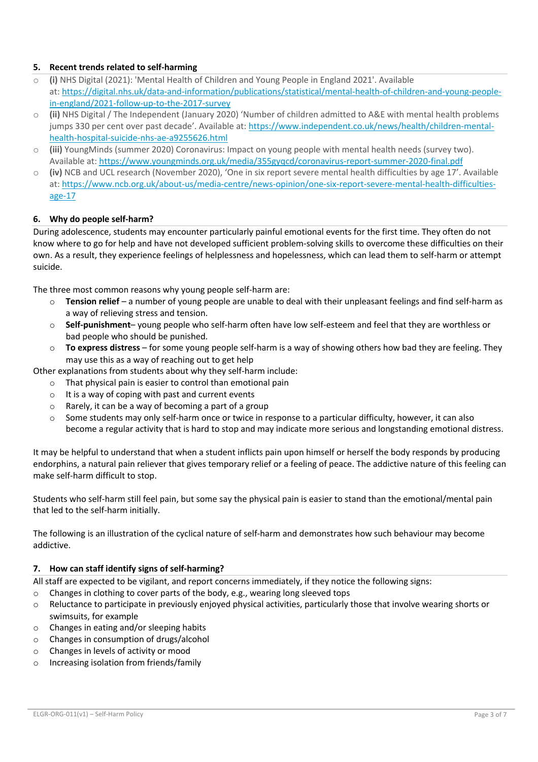# **5. Recent trends related to self-harming**

- o **(i)** NHS Digital (2021): 'Mental Health of Children and Young People in England 2021'. Available at: https://digital.nhs.uk/data-and-information/publications/statistical/mental-health-of-children-and-young-peoplein-england/2021-follow-up-to-the-2017-survey
- o **(ii)** NHS Digital / The Independent (January 2020) 'Number of children admitted to A&E with mental health problems jumps 330 per cent over past decade'. Available at: https://www.independent.co.uk/news/health/children-mentalhealth-hospital-suicide-nhs-ae-a9255626.html
- o **(iii)** YoungMinds (summer 2020) Coronavirus: Impact on young people with mental health needs (survey two). Available at: https://www.youngminds.org.uk/media/355gyqcd/coronavirus-report-summer-2020-final.pdf
- o **(iv)** NCB and UCL research (November 2020), 'One in six report severe mental health difficulties by age 17'. Available at: https://www.ncb.org.uk/about-us/media-centre/news-opinion/one-six-report-severe-mental-health-difficultiesage-17

# **6. Why do people self-harm?**

During adolescence, students may encounter particularly painful emotional events for the first time. They often do not know where to go for help and have not developed sufficient problem-solving skills to overcome these difficulties on their own. As a result, they experience feelings of helplessness and hopelessness, which can lead them to self-harm or attempt suicide.

The three most common reasons why young people self-harm are:

- Tension relief a number of young people are unable to deal with their unpleasant feelings and find self-harm as a way of relieving stress and tension.
- o **Self-punishment** young people who self-harm often have low self-esteem and feel that they are worthless or bad people who should be punished.
- o **To express distress** for some young people self-harm is a way of showing others how bad they are feeling. They may use this as a way of reaching out to get help

Other explanations from students about why they self-harm include:

- o That physical pain is easier to control than emotional pain
- $\circ$  It is a way of coping with past and current events
- o Rarely, it can be a way of becoming a part of a group
- $\circ$  Some students may only self-harm once or twice in response to a particular difficulty, however, it can also become a regular activity that is hard to stop and may indicate more serious and longstanding emotional distress.

It may be helpful to understand that when a student inflicts pain upon himself or herself the body responds by producing endorphins, a natural pain reliever that gives temporary relief or a feeling of peace. The addictive nature of this feeling can make self-harm difficult to stop.

Students who self-harm still feel pain, but some say the physical pain is easier to stand than the emotional/mental pain that led to the self-harm initially.

The following is an illustration of the cyclical nature of self-harm and demonstrates how such behaviour may become addictive.

## **7. How can staff identify signs of self-harming?**

All staff are expected to be vigilant, and report concerns immediately, if they notice the following signs:

- o Changes in clothing to cover parts of the body, e.g., wearing long sleeved tops
- $\circ$  Reluctance to participate in previously enjoyed physical activities, particularly those that involve wearing shorts or swimsuits, for example
- o Changes in eating and/or sleeping habits
- o Changes in consumption of drugs/alcohol
- o Changes in levels of activity or mood
- o Increasing isolation from friends/family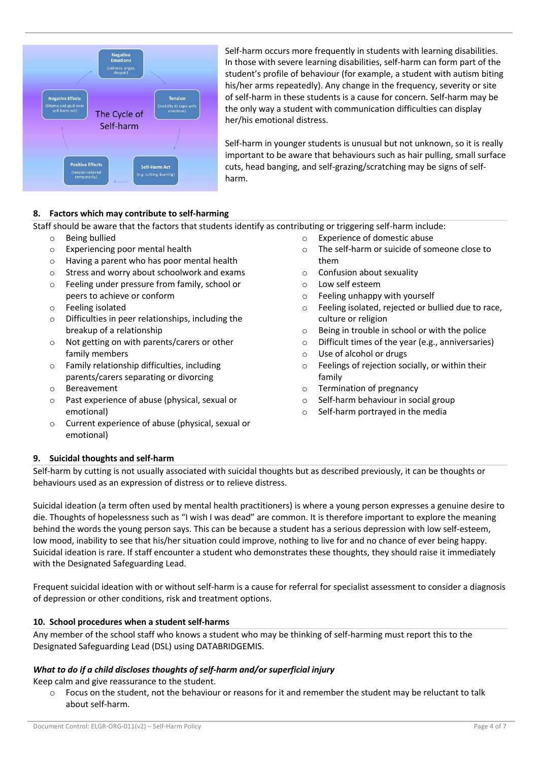

Self-harm occurs more frequently in students with learning disabilities. In those with severe learning disabilities, self-harm can form part of the student's profile of behaviour (for example, a student with autism biting his/her arms repeatedly). Any change in the frequency, severity or site of self-harm in these students is a cause for concern. Self-harm may be the only way a student with communication difficulties can display her/his emotional distress.

Self-harm in younger students is unusual but not unknown, so it is really important to be aware that behaviours such as hair pulling, small surface cuts, head banging, and self-grazing/scratching may be signs of selfharm.

# **8. Factors which may contribute to self-harming**

Staff should be aware that the factors that students identify as contributing or triggering self-harm include:

- o Being bullied
- o Experiencing poor mental health
- o Having a parent who has poor mental health
- o Stress and worry about schoolwork and exams
- o Feeling under pressure from family, school or peers to achieve or conform
- o Feeling isolated
- o Difficulties in peer relationships, including the breakup of a relationship
- o Not getting on with parents/carers or other family members
- o Family relationship difficulties, including parents/carers separating or divorcing
- o Bereavement
- o Past experience of abuse (physical, sexual or emotional)
- o Current experience of abuse (physical, sexual or emotional)
- o Experience of domestic abuse
- o The self-harm or suicide of someone close to them
- o Confusion about sexuality
- Low self esteem
- o Feeling unhappy with yourself
- o Feeling isolated, rejected or bullied due to race, culture or religion
- o Being in trouble in school or with the police
- o Difficult times of the year (e.g., anniversaries)
- o Use of alcohol or drugs
- o Feelings of rejection socially, or within their family
- o Termination of pregnancy
- o Self-harm behaviour in social group
- o Self-harm portrayed in the media

## **9. Suicidal thoughts and self-harm**

Self-harm by cutting is not usually associated with suicidal thoughts but as described previously, it can be thoughts or behaviours used as an expression of distress or to relieve distress.

Suicidal ideation (a term often used by mental health practitioners) is where a young person expresses a genuine desire to die. Thoughts of hopelessness such as "I wish I was dead" are common. It is therefore important to explore the meaning behind the words the young person says. This can be because a student has a serious depression with low self-esteem, low mood, inability to see that his/her situation could improve, nothing to live for and no chance of ever being happy. Suicidal ideation is rare. If staff encounter a student who demonstrates these thoughts, they should raise it immediately with the Designated Safeguarding Lead.

Frequent suicidal ideation with or without self-harm is a cause for referral for specialist assessment to consider a diagnosis of depression or other conditions, risk and treatment options.

## **10. School procedures when a student self-harms**

Any member of the school staff who knows a student who may be thinking of self-harming must report this to the Designated Safeguarding Lead (DSL) using DATABRIDGEMIS.

# *What to do if a child discloses thoughts of self-harm and/or superficial injury*

Keep calm and give reassurance to the student.

 $\circ$  Focus on the student, not the behaviour or reasons for it and remember the student may be reluctant to talk about self-harm.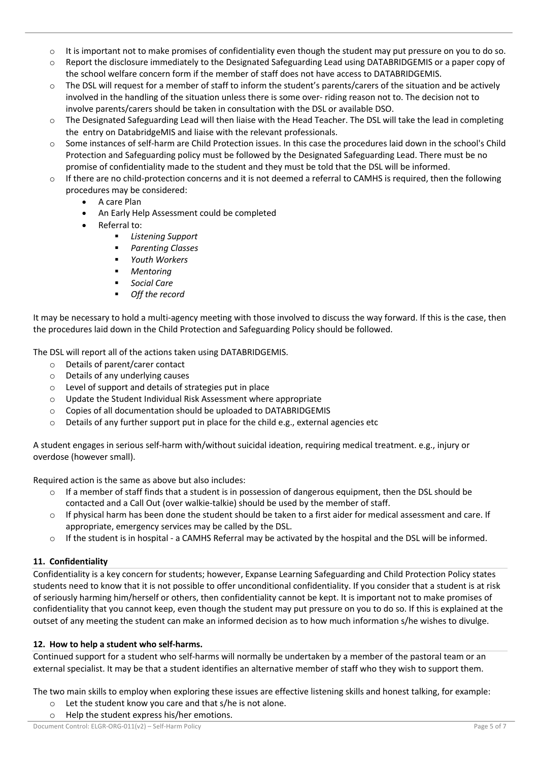- $\circ$  It is important not to make promises of confidentiality even though the student may put pressure on you to do so.
- o Report the disclosure immediately to the Designated Safeguarding Lead using DATABRIDGEMIS or a paper copy of the school welfare concern form if the member of staff does not have access to DATABRIDGEMIS.
- $\circ$  The DSL will request for a member of staff to inform the student's parents/carers of the situation and be actively involved in the handling of the situation unless there is some over- riding reason not to. The decision not to involve parents/carers should be taken in consultation with the DSL or available DSO.
- $\circ$  The Designated Safeguarding Lead will then liaise with the Head Teacher. The DSL will take the lead in completing the entry on DatabridgeMIS and liaise with the relevant professionals.
- o Some instances of self-harm are Child Protection issues. In this case the procedures laid down in the school's Child Protection and Safeguarding policy must be followed by the Designated Safeguarding Lead. There must be no promise of confidentiality made to the student and they must be told that the DSL will be informed.
- $\circ$  If there are no child-protection concerns and it is not deemed a referral to CAMHS is required, then the following procedures may be considered:
	- A care Plan
	- An Early Help Assessment could be completed
	- Referral to:
		- § *Listening Support*
		- § *Parenting Classes*
		- § *Youth Workers*
		- § *Mentoring*
		- Social Care
		- § *Off the record*

It may be necessary to hold a multi-agency meeting with those involved to discuss the way forward. If this is the case, then the procedures laid down in the Child Protection and Safeguarding Policy should be followed.

The DSL will report all of the actions taken using DATABRIDGEMIS.

- o Details of parent/carer contact
- o Details of any underlying causes
- o Level of support and details of strategies put in place
- o Update the Student Individual Risk Assessment where appropriate
- o Copies of all documentation should be uploaded to DATABRIDGEMIS
- o Details of any further support put in place for the child e.g., external agencies etc

A student engages in serious self-harm with/without suicidal ideation, requiring medical treatment. e.g., injury or overdose (however small).

Required action is the same as above but also includes:

- $\circ$  If a member of staff finds that a student is in possession of dangerous equipment, then the DSL should be contacted and a Call Out (over walkie-talkie) should be used by the member of staff.
- If physical harm has been done the student should be taken to a first aider for medical assessment and care. If appropriate, emergency services may be called by the DSL.
- $\circ$  If the student is in hospital a CAMHS Referral may be activated by the hospital and the DSL will be informed.

## **11. Confidentiality**

Confidentiality is a key concern for students; however, Expanse Learning Safeguarding and Child Protection Policy states students need to know that it is not possible to offer unconditional confidentiality. If you consider that a student is at risk of seriously harming him/herself or others, then confidentiality cannot be kept. It is important not to make promises of confidentiality that you cannot keep, even though the student may put pressure on you to do so. If this is explained at the outset of any meeting the student can make an informed decision as to how much information s/he wishes to divulge.

## **12. How to help a student who self-harms.**

Continued support for a student who self-harms will normally be undertaken by a member of the pastoral team or an external specialist. It may be that a student identifies an alternative member of staff who they wish to support them.

The two main skills to employ when exploring these issues are effective listening skills and honest talking, for example:

o Let the student know you care and that s/he is not alone.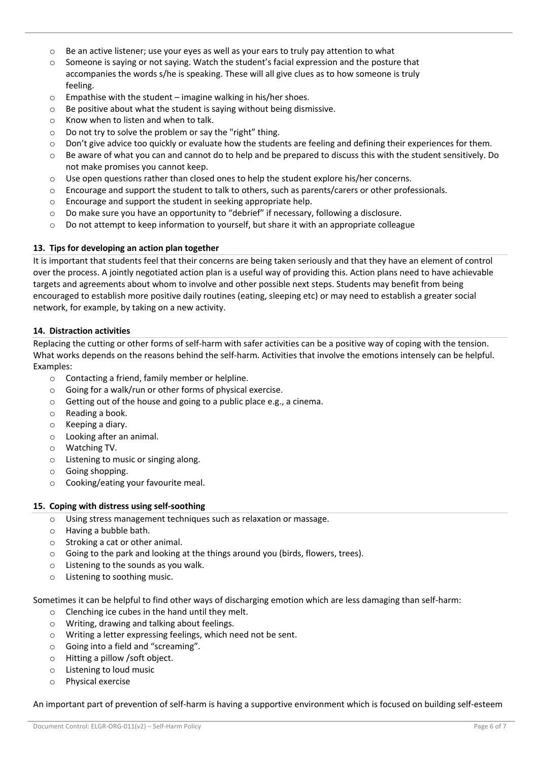- $\circ$  Be an active listener; use your eves as well as your ears to truly pay attention to what
- $\circ$  Someone is saying or not saying. Watch the student's facial expression and the posture that accompanies the words s/he is speaking. These will all give clues as to how someone is truly feeling.
- $\circ$  Empathise with the student imagine walking in his/her shoes.
- o Be positive about what the student is saying without being dismissive.
- o Know when to listen and when to talk.
- $\circ$  Do not try to solve the problem or say the "right" thing.
- o Don't give advice too quickly or evaluate how the students are feeling and defining their experiences for them.
- $\circ$  Be aware of what you can and cannot do to help and be prepared to discuss this with the student sensitively. Do not make promises you cannot keep.
- $\circ$  Use open questions rather than closed ones to help the student explore his/her concerns.
- $\circ$  Encourage and support the student to talk to others, such as parents/carers or other professionals.
- o Encourage and support the student in seeking appropriate help.
- $\circ$  Do make sure you have an opportunity to "debrief" if necessary, following a disclosure.
- o Do not attempt to keep information to yourself, but share it with an appropriate colleague

#### **13. Tips for developing an action plan together**

It is important that students feel that their concerns are being taken seriously and that they have an element of control over the process. A jointly negotiated action plan is a useful way of providing this. Action plans need to have achievable targets and agreements about whom to involve and other possible next steps. Students may benefit from being encouraged to establish more positive daily routines (eating, sleeping etc) or may need to establish a greater social network, for example, by taking on a new activity.

#### **14. Distraction activities**

Replacing the cutting or other forms of self-harm with safer activities can be a positive way of coping with the tension. What works depends on the reasons behind the self-harm. Activities that involve the emotions intensely can be helpful. Examples:

- o Contacting a friend, family member or helpline.
- o Going for a walk/run or other forms of physical exercise.
- o Getting out of the house and going to a public place e.g., a cinema.
- o Reading a book.
- o Keeping a diary.
- o Looking after an animal.
- o Watching TV.
- o Listening to music or singing along.
- o Going shopping.
- o Cooking/eating your favourite meal.

#### **15. Coping with distress using self-soothing**

- o Using stress management techniques such as relaxation or massage.
- o Having a bubble bath.
- o Stroking a cat or other animal.
- $\circ$  Going to the park and looking at the things around you (birds, flowers, trees).
- o Listening to the sounds as you walk.
- o Listening to soothing music.

Sometimes it can be helpful to find other ways of discharging emotion which are less damaging than self-harm:

- o Clenching ice cubes in the hand until they melt.
- o Writing, drawing and talking about feelings.
- o Writing a letter expressing feelings, which need not be sent.
- o Going into a field and "screaming".
- o Hitting a pillow /soft object.
- o Listening to loud music
- o Physical exercise

An important part of prevention of self-harm is having a supportive environment which is focused on building self-esteem